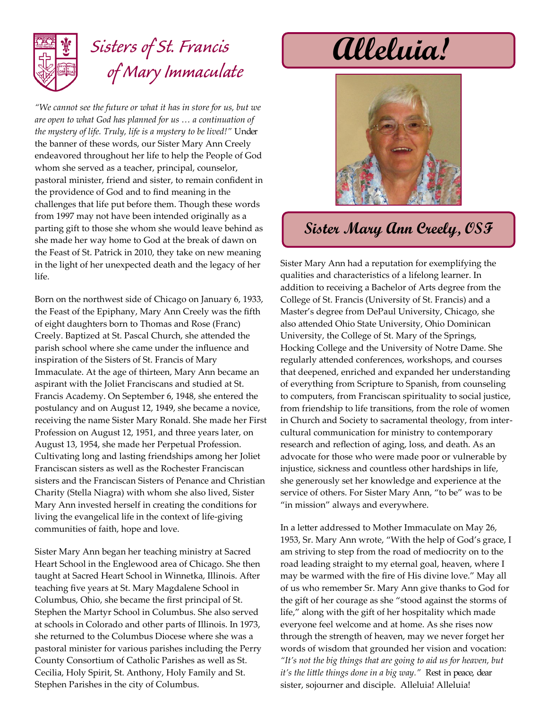

## *Sisters of St. Francis of Mary Immaculate*

*"We cannot see the future or what it has in store for us, but we are open to what God has planned for us … a continuation of the mystery of life. Truly, life is a mystery to be lived!"* Under the banner of these words, our Sister Mary Ann Creely endeavored throughout her life to help the People of God whom she served as a teacher, principal, counselor, pastoral minister, friend and sister, to remain confident in the providence of God and to find meaning in the challenges that life put before them. Though these words from 1997 may not have been intended originally as a parting gift to those she whom she would leave behind as she made her way home to God at the break of dawn on the Feast of St. Patrick in 2010, they take on new meaning in the light of her unexpected death and the legacy of her life.

Born on the northwest side of Chicago on January 6, 1933, the Feast of the Epiphany, Mary Ann Creely was the fifth of eight daughters born to Thomas and Rose (Franc) Creely. Baptized at St. Pascal Church, she attended the parish school where she came under the influence and inspiration of the Sisters of St. Francis of Mary Immaculate. At the age of thirteen, Mary Ann became an aspirant with the Joliet Franciscans and studied at St. Francis Academy. On September 6, 1948, she entered the postulancy and on August 12, 1949, she became a novice, receiving the name Sister Mary Ronald. She made her First Profession on August 12, 1951, and three years later, on August 13, 1954, she made her Perpetual Profession. Cultivating long and lasting friendships among her Joliet Franciscan sisters as well as the Rochester Franciscan sisters and the Franciscan Sisters of Penance and Christian Charity (Stella Niagra) with whom she also lived, Sister Mary Ann invested herself in creating the conditions for living the evangelical life in the context of life-giving communities of faith, hope and love.

Sister Mary Ann began her teaching ministry at Sacred Heart School in the Englewood area of Chicago. She then taught at Sacred Heart School in Winnetka, Illinois. After teaching five years at St. Mary Magdalene School in Columbus, Ohio, she became the first principal of St. Stephen the Martyr School in Columbus. She also served at schools in Colorado and other parts of Illinois. In 1973, she returned to the Columbus Diocese where she was a pastoral minister for various parishes including the Perry County Consortium of Catholic Parishes as well as St. Cecilia, Holy Spirit, St. Anthony, Holy Family and St. Stephen Parishes in the city of Columbus.

## **Alleluia!**



## **Sister Mary Ann Creely, OSF**

Sister Mary Ann had a reputation for exemplifying the qualities and characteristics of a lifelong learner. In addition to receiving a Bachelor of Arts degree from the College of St. Francis (University of St. Francis) and a Master's degree from DePaul University, Chicago, she also attended Ohio State University, Ohio Dominican University, the College of St. Mary of the Springs, Hocking College and the University of Notre Dame. She regularly attended conferences, workshops, and courses that deepened, enriched and expanded her understanding of everything from Scripture to Spanish, from counseling to computers, from Franciscan spirituality to social justice, from friendship to life transitions, from the role of women in Church and Society to sacramental theology, from intercultural communication for ministry to contemporary research and reflection of aging, loss, and death. As an advocate for those who were made poor or vulnerable by injustice, sickness and countless other hardships in life, she generously set her knowledge and experience at the service of others. For Sister Mary Ann, "to be" was to be "in mission" always and everywhere.

In a letter addressed to Mother Immaculate on May 26, 1953, Sr. Mary Ann wrote, "With the help of God's grace, I am striving to step from the road of mediocrity on to the road leading straight to my eternal goal, heaven, where I may be warmed with the fire of His divine love." May all of us who remember Sr. Mary Ann give thanks to God for the gift of her courage as she "stood against the storms of life," along with the gift of her hospitality which made everyone feel welcome and at home. As she rises now through the strength of heaven, may we never forget her words of wisdom that grounded her vision and vocation: *"It's not the big things that are going to aid us for heaven, but it's the little things done in a big way."* Rest in peace, dear sister, sojourner and disciple. Alleluia! Alleluia!